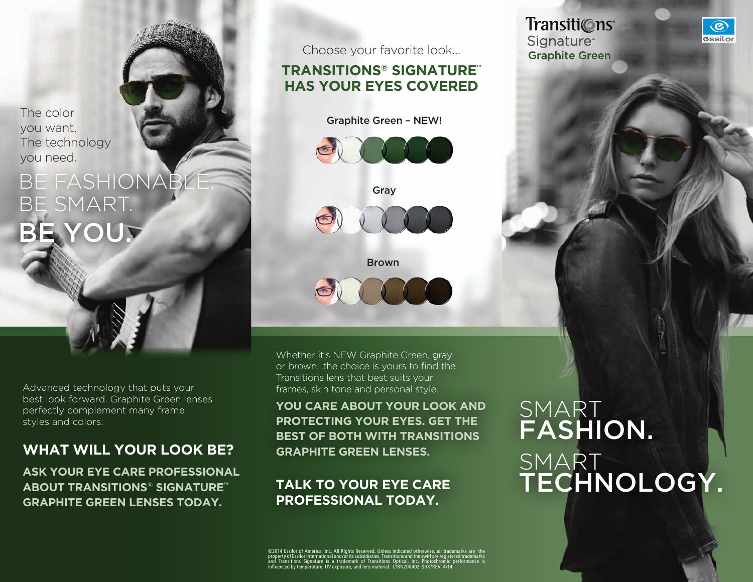The color you want. The technology you need.

## **BE FASHIONAE** be smart. BE YOU?

Advanced technology that puts your best look forward. Graphite Green lenses perfectly complement many frame styles and colors.

#### **what will your look be?**

**Ask your eye care professional about Transitions® Signature™ Graphite Green lenses today.** 

Choose your favorite look…

#### **Transitions® Signature™ has your eyes covered**

Graphite Green – NEW!





Brown

Whether it's NEW Graphite Green, gray or brown…the choice is yours to find the Transitions lens that best suits your frames, skin tone and personal style.

**You care about your look and protecting your eyes. Get the best of both with Transitions Graphite Green lenses.** 

#### **Talk to your eye care professional today.**

©2014 Essilor of America, Inc. All Rights Reserved. Unless indicated otherwise, all trademarks are the property of Essilor International and/or its subsidiaries. Transitions and the swirl are registered trademarks and Transitions Signature is a trademark of Transitions Optical, Inc. Photochromic performance is influenced by temperature, UV exposure, and lens material. LTRN200402 SHK/REV 4/14

## **SMART** fashion. **SMART** technology.

Transiti©ns<sup>®</sup> **Signature Graphite Green**